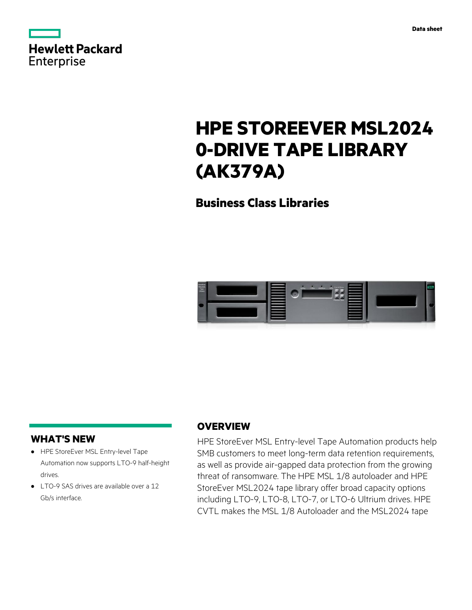|            | <b>Hewlett Packard</b> |
|------------|------------------------|
| Enterprise |                        |

**Data sheet**

# **HPE STOREEVER MSL2024 0-DRIVE TAPE LIBRARY (AK379A)**

**Business Class Libraries**



## **WHAT'S NEW**

- **·** HPE StoreEver MSL Entry-level Tape Automation now supports LTO-9 half-height drives.
- **·** LTO-9 SAS drives are available over a 12 Gb/s interface.

## **OVERVIEW**

HPE StoreEver MSL Entry-level Tape Automation products help SMB customers to meet long-term data retention requirements, as well as provide air-gapped data protection from the growing threat of ransomware. The HPE MSL 1/8 autoloader and HPE StoreEver MSL2024 tape library offer broad capacity options including LTO-9, LTO-8, LTO-7, or LTO-6 Ultrium drives. HPE CVTL makes the MSL 1/8 Autoloader and the MSL2024 tape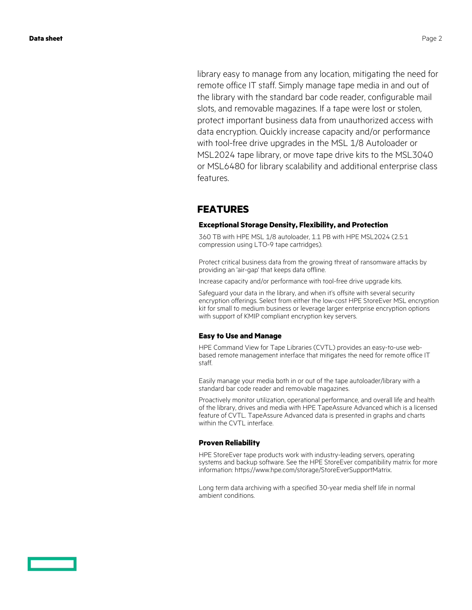library easy to manage from any location, mitigating the need for remote office IT staff. Simply manage tape media in and out of the library with the standard bar code reader, configurable mail slots, and removable magazines. If a tape were lost or stolen, protect important business data from unauthorized access with data encryption. Quickly increase capacity and/or performance with tool-free drive upgrades in the MSL 1/8 Autoloader or MSL2024 tape library, or move tape drive kits to the MSL3040 or MSL6480 for library scalability and additional enterprise class features.

## **FEATURES**

### **Exceptional Storage Density, Flexibility, and Protection**

360 TB with HPE MSL 1/8 autoloader, 1.1 PB with HPE MSL2024 (2.5:1 compression using LTO-9 tape cartridges).

Protect critical business data from the growing threat of ransomware attacks by providing an 'air-gap' that keeps data offline.

Increase capacity and/or performance with tool-free drive upgrade kits.

Safeguard your data in the library, and when it's offsite with several security encryption offerings. Select from either the low-cost HPE StoreEver MSL encryption kit for small to medium business or leverage larger enterprise encryption options with support of KMIP compliant encryption key servers.

### **Easy to Use and Manage**

HPE Command View for Tape Libraries (CVTL) provides an easy-to-use webbased remote management interface that mitigates the need for remote office IT staff.

Easily manage your media both in or out of the tape autoloader/library with a standard bar code reader and removable magazines.

Proactively monitor utilization, operational performance, and overall life and health of the library, drives and media with HPE TapeAssure Advanced which is a licensed feature of CVTL. TapeAssure Advanced data is presented in graphs and charts within the CVTL interface.

### **Proven Reliability**

HPE StoreEver tape products work with industry-leading servers, operating systems and backup software. See the HPE StoreEver compatibility matrix for more information: https://www.hpe.com/storage/StoreEverSupportMatrix.

Long term data archiving with a specified 30-year media shelf life in normal ambient conditions.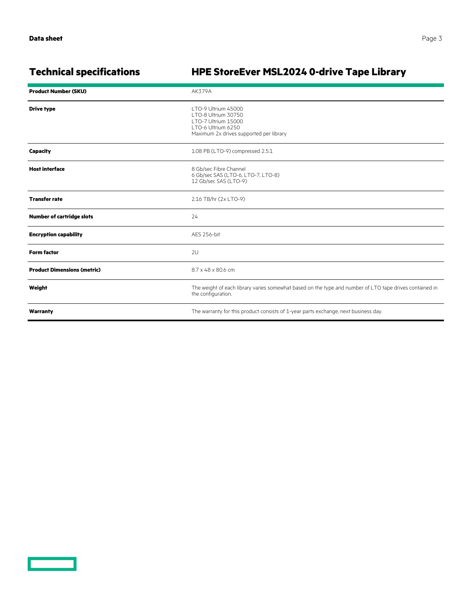<u>range and the second second</u>

## **Technical specifications HPE StoreEver MSL2024 0-drive Tape Library**

| <b>Product Number (SKU)</b>        | AK379A                                                                                                                             |
|------------------------------------|------------------------------------------------------------------------------------------------------------------------------------|
| <b>Drive type</b>                  | LTO-9 Ultrium 45000<br>LTO-8 Ultrium 30750<br>LTO-7 Ultrium 15000<br>LTO-6 Ultrium 6250<br>Maximum 2x drives supported per library |
| Capacity                           | 1.08 PB (LTO-9) compressed 2.5:1                                                                                                   |
| <b>Host interface</b>              | 8 Gb/sec Fibre Channel<br>6 Gb/sec SAS (LTO-6, LTO-7, LTO-8)<br>12 Gb/sec SAS (LTO-9)                                              |
| <b>Transfer rate</b>               | 2.16 TB/hr (2x LTO-9)                                                                                                              |
| <b>Number of cartridge slots</b>   | 24                                                                                                                                 |
| <b>Encryption capability</b>       | AES 256-bit                                                                                                                        |
| <b>Form factor</b>                 | 2U                                                                                                                                 |
| <b>Product Dimensions (metric)</b> | 8.7 x 48 x 80.6 cm                                                                                                                 |
| Weight                             | The weight of each library varies somewhat based on the type and number of LTO tape drives contained in<br>the configuration.      |
| Warranty                           | The warranty for this product consists of 1-year parts exchange, next business day.                                                |